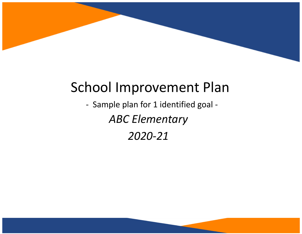

## School Improvement Plan

- Sample plan for 1 identified goal - *ABC Elementary 2020-21*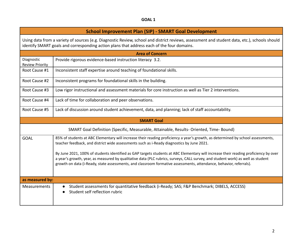## **GOAL 1**

## **School Improvement Plan (SIP) - SMART Goal Development**

Using data from a variety of sources (e.g. Diagnostic Review, school and district reviews, assessment and student data, etc.), schools should identify SMART goals and corresponding action plans that address each of the four domains.

| <b>Area of Concern</b>                                                                   |                                                                                                                                                                                                                                                                                                                                                                                              |  |  |  |  |  |
|------------------------------------------------------------------------------------------|----------------------------------------------------------------------------------------------------------------------------------------------------------------------------------------------------------------------------------------------------------------------------------------------------------------------------------------------------------------------------------------------|--|--|--|--|--|
| Diagnostic<br><b>Review Priority</b>                                                     | Provide rigorous evidence-based instruction literacy 3.2.                                                                                                                                                                                                                                                                                                                                    |  |  |  |  |  |
| Root Cause #1                                                                            | Inconsistent staff expertise around teaching of foundational skills.                                                                                                                                                                                                                                                                                                                         |  |  |  |  |  |
| Root Cause #2                                                                            | Inconsistent programs for foundational skills in the building.                                                                                                                                                                                                                                                                                                                               |  |  |  |  |  |
| Root Cause #3                                                                            | Low rigor instructional and assessment materials for core instruction as well as Tier 2 interventions.                                                                                                                                                                                                                                                                                       |  |  |  |  |  |
| Root Cause #4                                                                            | Lack of time for collaboration and peer observations.                                                                                                                                                                                                                                                                                                                                        |  |  |  |  |  |
| Root Cause #5                                                                            | Lack of discussion around student achievement, data, and planning; lack of staff accountability.                                                                                                                                                                                                                                                                                             |  |  |  |  |  |
|                                                                                          | <b>SMART Goal</b>                                                                                                                                                                                                                                                                                                                                                                            |  |  |  |  |  |
| SMART Goal Definition (Specific, Measurable, Attainable, Results- Oriented, Time- Bound) |                                                                                                                                                                                                                                                                                                                                                                                              |  |  |  |  |  |
| <b>GOAL</b>                                                                              | 85% of students at ABC Elementary will increase their reading proficiency a year's growth, as determined by school assessments,<br>teacher feedback, and district wide assessments such as i-Ready diagnostics by June 2021.                                                                                                                                                                 |  |  |  |  |  |
|                                                                                          | By June 2021, 100% of students identified as GAP targets students at ABC Elementary will increase their reading proficiency by over<br>a year's growth, year, as measured by qualitative data (PLC rubrics, surveys, CALL survey, and student work) as well as student<br>growth on data (i-Ready, state assessments, and classroom formative assessments, attendance, behavior, referrals). |  |  |  |  |  |
| as measured by:                                                                          |                                                                                                                                                                                                                                                                                                                                                                                              |  |  |  |  |  |
| Measurements                                                                             | Student assessments for quantitative feedback (i-Ready; SAS; F&P Benchmark; DIBELS, ACCESS)<br>Student self reflection rubric                                                                                                                                                                                                                                                                |  |  |  |  |  |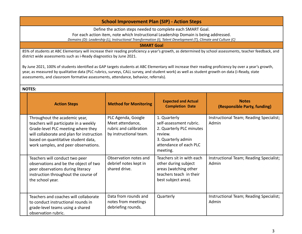## **School Improvement Plan (SIP) - Action Steps**

Define the action steps needed to complete each SMART Goal.

For each action item, note which Instructional Leadership Domain is being addressed.

*Domains (D): Leadership (L), Instructional Transformation (I), Talent Development (T), Climate and Culture (C)*

**SMART Goal**

85% of students at ABC Elementary will increase their reading proficiency a year's growth, as determined by school assessments, teacher feedback, and district wide assessments such as i-Ready diagnostics by June 2021.

By June 2021, 100% of students identified as GAP targets students at ABC Elementary will increase their reading proficiency by over a year's growth, year, as measured by qualitative data (PLC rubrics, surveys, CALL survey, and student work) as well as student growth on data (i-Ready, state assessments, and classroom formative assessments, attendance, behavior, referrals).

| <b>NOTE</b> | r. |  |
|-------------|----|--|
|             |    |  |

| <b>Action Steps</b>                                                                                                                                                                                                                      | <b>Method for Monitoring</b>                                                               | <b>Expected and Actual</b><br><b>Completion Date</b>                                                                                       | <b>Notes</b><br>(Responsible Party, funding)     |
|------------------------------------------------------------------------------------------------------------------------------------------------------------------------------------------------------------------------------------------|--------------------------------------------------------------------------------------------|--------------------------------------------------------------------------------------------------------------------------------------------|--------------------------------------------------|
| Throughout the academic year,<br>teachers will participate in a weekly<br>Grade-level PLC meeting where they<br>will collaborate and plan for instruction<br>based on quantitative student data,<br>work samples, and peer observations. | PLC Agenda, Google<br>Meet attendance,<br>rubric and calibration<br>by instructional team. | 1. Quarterly<br>self-assessment rubric.<br>2. Quarterly PLC minutes<br>review.<br>3. Quarterly admin<br>attendance of each PLC<br>meeting. | Instructional Team; Reading Specialist;<br>Admin |
| Teachers will conduct two peer<br>observations and be the object of two<br>peer observations during literacy<br>instruction throughout the course of<br>the school year.                                                                 | Observation notes and<br>debrief notes kept in<br>shared drive.                            | Teachers sit in with each<br>other during subject<br>areas (watching other<br>teachers teach in their<br>best subject area).               | Instructional Team; Reading Specialist;<br>Admin |
| Teachers and coaches will collaborate<br>to conduct instructional rounds in<br>grade-level teams using a shared<br>observation rubric.                                                                                                   | Data from rounds and<br>notes from meetings<br>debriefing rounds.                          | Quarterly                                                                                                                                  | Instructional Team; Reading Specialist;<br>Admin |